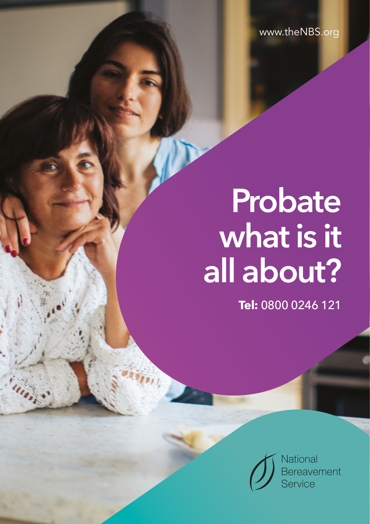www.theNBS.org

# **Probate what is it all about?**

**Tel:** 0800 0246 121

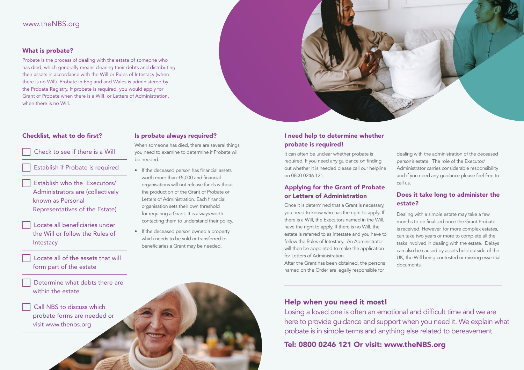# www.theNBS.org

#### What is probate?

Probate is the process of dealing with the estate of someone who has died, which generally means clearing their debts and distributing their assets in accordance with the Will or Rules of Intestacy (when there is no Will). Probate in England and Wales is administered by the Probate Registry. If probate is required, you would apply for Grant of Probate when there is a Will, or Letters of Administration, when there is no Will.

# Checklist, what to do first?

#### Check to see if there is a Will

Establish if Probate is required

 Establish who the Executors/ Administrators are (collectively known as Personal Representatives of the Estate)

- Locate all beneficiaries under the Will or follow the Rules of **Intestacy**
- Locate all of the assets that will form part of the estate

 Determine what debts there are within the estate

 Call NBS to discuss which probate forms are needed or visit www.thenbs.org

# Is probate always required?

When someone has died, there are several things you need to examine to determine if Probate will be needed:

- If the deceased person has financial assets worth more than £5,000 and financial organisations will not release funds without the production of the Grant of Probate or Letters of Administration. Each financial organisation sets their own threshold for requiring a Grant. It is always worth contacting them to understand their policy.
- If the deceased person owned a property which needs to be sold or transferred to beneficiaries a Grant may be needed.

# I need help to determine whether probate is required!

It can often be unclear whether probate is required. If you need any guidance on finding out whether it is needed please call our helpline on 0800 0246 121.

# Applying for the Grant of Probate or Letters of Administration

Once it is determined that a Grant is necessary, you need to know who has the right to apply. If there is a Will, the Executors named in the Will, have the right to apply. If there is no Will, the estate is referred to as Intestate and you have to follow the Rules of Intestacy. An Administrator will then be appointed to make the application for Letters of Administration.

After the Grant has been obtained, the persons named on the Order are legally responsible for

dealing with the administration of the deceased person's estate. The role of the Executor/ Administrator carries considerable responsibility and if you need any guidance please feel free to call us.

# Does it take long to administer the estate?

Dealing with a simple estate may take a few months to be finalised once the Grant Probate is received. However, for more complex estates, can take two years or more to complete all the tasks involved in dealing with the estate. Delays can also be caused by assets held outside of the UK, the Will being contested or missing essential documents.

# Help when you need it most!

Losing a loved one is often an emotional and difficult time and we are here to provide guidance and support when you need it. We explain what probate is in simple terms and anything else related to bereavement.

Tel: 0800 0246 121 Or visit: www.theNBS.org